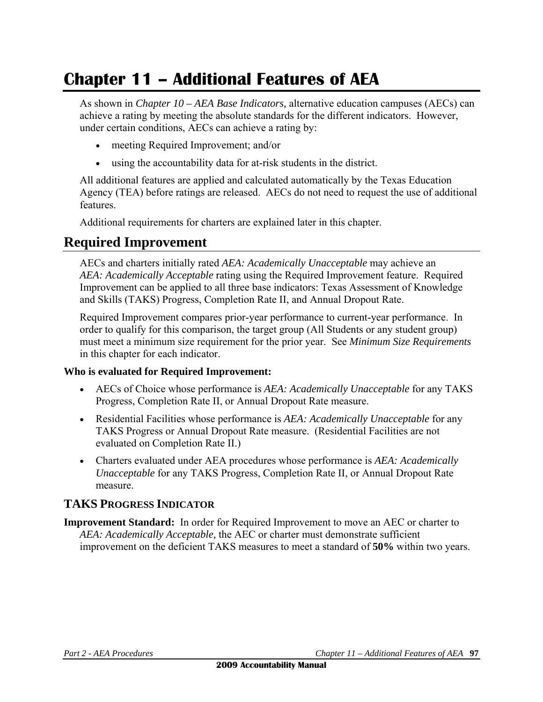# **Chapter 11 – Additional Features of AEA**

As shown in *Chapter 10 – AEA Base Indicators,* alternative education campuses (AECs) can achieve a rating by meeting the absolute standards for the different indicators. However, under certain conditions, AECs can achieve a rating by:

- meeting Required Improvement; and/or
- using the accountability data for at-risk students in the district.

All additional features are applied and calculated automatically by the Texas Education Agency (TEA) before ratings are released. AECs do not need to request the use of additional features.

Additional requirements for charters are explained later in this chapter.

# **Required Improvement**

AECs and charters initially rated *AEA: Academically Unacceptable* may achieve an *AEA: Academically Acceptable* rating using the Required Improvement feature. Required Improvement can be applied to all three base indicators: Texas Assessment of Knowledge and Skills (TAKS) Progress, Completion Rate II, and Annual Dropout Rate.

Required Improvement compares prior-year performance to current-year performance. In order to qualify for this comparison, the target group (All Students or any student group) must meet a minimum size requirement for the prior year. See *Minimum Size Requirements* in this chapter for each indicator.

#### **Who is evaluated for Required Improvement:**

- AECs of Choice whose performance is *AEA: Academically Unacceptable* for any TAKS Progress, Completion Rate II, or Annual Dropout Rate measure.
- Residential Facilities whose performance is *AEA: Academically Unacceptable* for any TAKS Progress or Annual Dropout Rate measure. (Residential Facilities are not evaluated on Completion Rate II.)
- Charters evaluated under AEA procedures whose performance is *AEA: Academically Unacceptable* for any TAKS Progress, Completion Rate II, or Annual Dropout Rate measure.

# **TAKS PROGRESS INDICATOR**

**Improvement Standard:** In order for Required Improvement to move an AEC or charter to *AEA: Academically Acceptable,* the AEC or charter must demonstrate sufficient improvement on the deficient TAKS measures to meet a standard of **50%** within two years.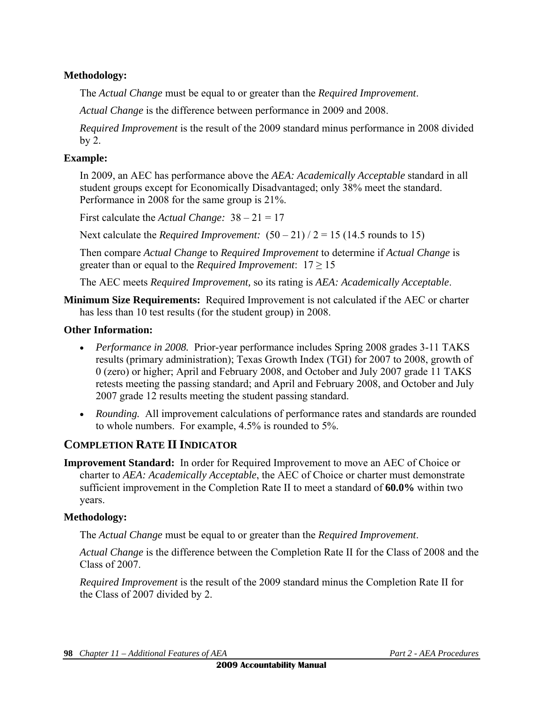#### **Methodology:**

The *Actual Change* must be equal to or greater than the *Required Improvement*.

*Actual Change* is the difference between performance in 2009 and 2008.

*Required Improvement* is the result of the 2009 standard minus performance in 2008 divided by 2.

#### **Example:**

In 2009, an AEC has performance above the *AEA: Academically Acceptable* standard in all student groups except for Economically Disadvantaged; only 38% meet the standard. Performance in 2008 for the same group is 21%.

First calculate the *Actual Change:* 38 – 21 = 17

Next calculate the *Required Improvement:*  $(50 - 21)/2 = 15 (14.5$  rounds to 15)

Then compare *Actual Change* to *Required Improvement* to determine if *Actual Change* is greater than or equal to the *Required Improvement*:  $17 \ge 15$ 

The AEC meets *Required Improvement,* so its rating is *AEA: Academically Acceptable*.

**Minimum Size Requirements:** Required Improvement is not calculated if the AEC or charter has less than 10 test results (for the student group) in 2008.

#### **Other Information:**

- *Performance in 2008.* Prior-year performance includes Spring 2008 grades 3-11 TAKS results (primary administration); Texas Growth Index (TGI) for 2007 to 2008, growth of 0 (zero) or higher; April and February 2008, and October and July 2007 grade 11 TAKS retests meeting the passing standard; and April and February 2008, and October and July 2007 grade 12 results meeting the student passing standard.
- *Rounding.* All improvement calculations of performance rates and standards are rounded to whole numbers. For example, 4.5% is rounded to 5%.

### **COMPLETION RATE II INDICATOR**

**Improvement Standard:** In order for Required Improvement to move an AEC of Choice or charter to *AEA: Academically Acceptable*, the AEC of Choice or charter must demonstrate sufficient improvement in the Completion Rate II to meet a standard of **60.0%** within two years.

#### **Methodology:**

The *Actual Change* must be equal to or greater than the *Required Improvement*.

*Actual Change* is the difference between the Completion Rate II for the Class of 2008 and the Class of 2007.

*Required Improvement* is the result of the 2009 standard minus the Completion Rate II for the Class of 2007 divided by 2.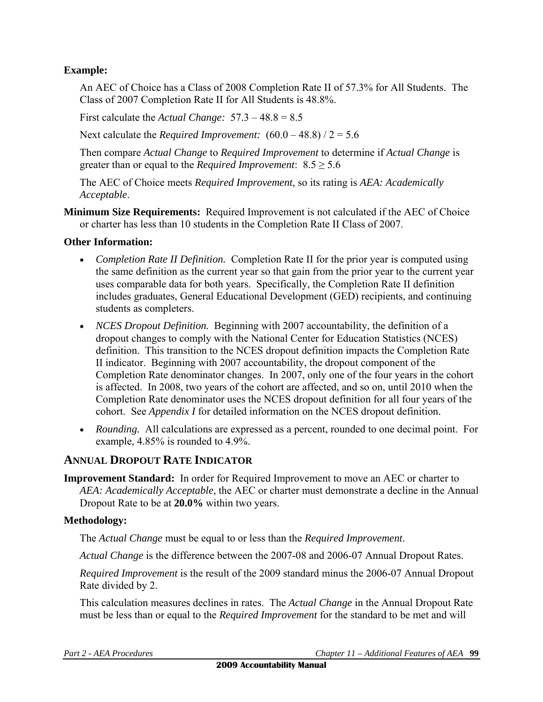#### **Example:**

An AEC of Choice has a Class of 2008 Completion Rate II of 57.3% for All Students. The Class of 2007 Completion Rate II for All Students is 48.8%.

First calculate the *Actual Change:* 57.3 – 48.8 = 8.5

Next calculate the *Required Improvement:*  $(60.0 - 48.8) / 2 = 5.6$ 

Then compare *Actual Change* to *Required Improvement* to determine if *Actual Change* is greater than or equal to the *Required Improvement*:  $8.5 \ge 5.6$ 

The AEC of Choice meets *Required Improvement*, so its rating is *AEA: Academically Acceptable*.

**Minimum Size Requirements:** Required Improvement is not calculated if the AEC of Choice or charter has less than 10 students in the Completion Rate II Class of 2007.

#### **Other Information:**

- *Completion Rate II Definition.* Completion Rate II for the prior year is computed using the same definition as the current year so that gain from the prior year to the current year uses comparable data for both years. Specifically, the Completion Rate II definition includes graduates, General Educational Development (GED) recipients, and continuing students as completers.
- *NCES Dropout Definition.* Beginning with 2007 accountability, the definition of a dropout changes to comply with the National Center for Education Statistics (NCES) definition. This transition to the NCES dropout definition impacts the Completion Rate II indicator. Beginning with 2007 accountability, the dropout component of the Completion Rate denominator changes. In 2007, only one of the four years in the cohort is affected. In 2008, two years of the cohort are affected, and so on, until 2010 when the Completion Rate denominator uses the NCES dropout definition for all four years of the cohort. See *Appendix I* for detailed information on the NCES dropout definition.
- *Rounding.* All calculations are expressed as a percent, rounded to one decimal point. For example, 4.85% is rounded to 4.9%.

# **ANNUAL DROPOUT RATE INDICATOR**

**Improvement Standard:** In order for Required Improvement to move an AEC or charter to *AEA: Academically Acceptable*, the AEC or charter must demonstrate a decline in the Annual Dropout Rate to be at **20.0%** within two years.

#### **Methodology:**

The *Actual Change* must be equal to or less than the *Required Improvement*.

*Actual Change* is the difference between the 2007-08 and 2006-07 Annual Dropout Rates.

*Required Improvement* is the result of the 2009 standard minus the 2006-07 Annual Dropout Rate divided by 2.

This calculation measures declines in rates. The *Actual Change* in the Annual Dropout Rate must be less than or equal to the *Required Improvement* for the standard to be met and will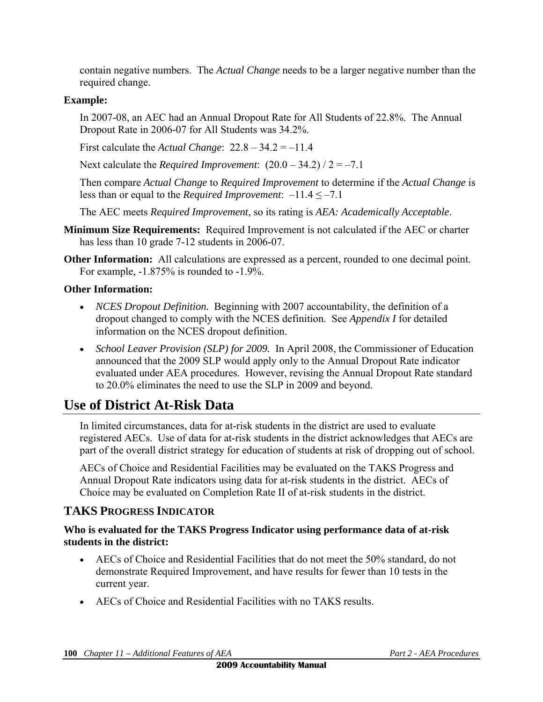contain negative numbers. The *Actual Change* needs to be a larger negative number than the required change.

#### **Example:**

In 2007-08, an AEC had an Annual Dropout Rate for All Students of 22.8%. The Annual Dropout Rate in 2006-07 for All Students was 34.2%.

First calculate the *Actual Change*: 22.8 – 34.2 = –11.4

Next calculate the *Required Improvement*:  $(20.0 - 34.2) / 2 = -7.1$ 

Then compare *Actual Change* to *Required Improvement* to determine if the *Actual Change* is less than or equal to the *Required Improvement*:  $-11.4 \le -7.1$ 

The AEC meets *Required Improvement*, so its rating is *AEA: Academically Acceptable*.

- **Minimum Size Requirements:** Required Improvement is not calculated if the AEC or charter has less than 10 grade 7-12 students in 2006-07.
- **Other Information:** All calculations are expressed as a percent, rounded to one decimal point. For example, -1.875% is rounded to -1.9%.

### **Other Information:**

- *NCES Dropout Definition.* Beginning with 2007 accountability, the definition of a dropout changed to comply with the NCES definition. See *Appendix I* for detailed information on the NCES dropout definition.
- *School Leaver Provision (SLP) for 2009.* In April 2008, the Commissioner of Education announced that the 2009 SLP would apply only to the Annual Dropout Rate indicator evaluated under AEA procedures. However, revising the Annual Dropout Rate standard to 20.0% eliminates the need to use the SLP in 2009 and beyond.

# **Use of District At-Risk Data**

In limited circumstances, data for at-risk students in the district are used to evaluate registered AECs. Use of data for at-risk students in the district acknowledges that AECs are part of the overall district strategy for education of students at risk of dropping out of school.

AECs of Choice and Residential Facilities may be evaluated on the TAKS Progress and Annual Dropout Rate indicators using data for at-risk students in the district. AECs of Choice may be evaluated on Completion Rate II of at-risk students in the district.

# **TAKS PROGRESS INDICATOR**

#### **Who is evaluated for the TAKS Progress Indicator using performance data of at-risk students in the district:**

- AECs of Choice and Residential Facilities that do not meet the 50% standard, do not demonstrate Required Improvement, and have results for fewer than 10 tests in the current year.
- AECs of Choice and Residential Facilities with no TAKS results.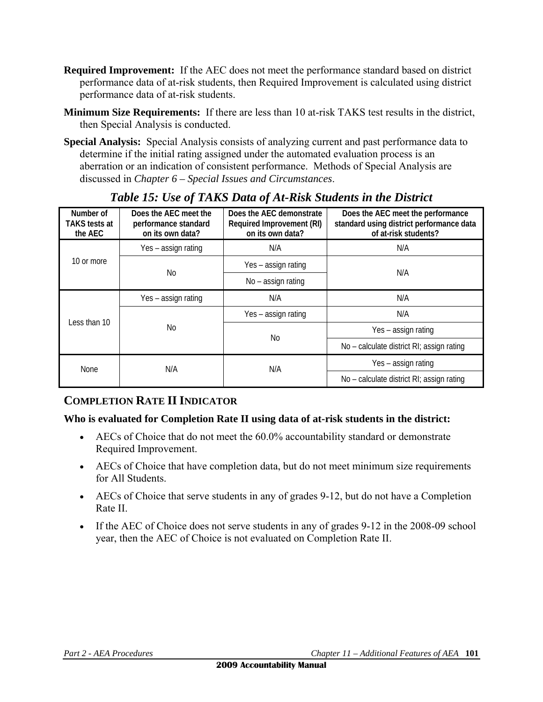- **Required Improvement:** If the AEC does not meet the performance standard based on district performance data of at-risk students, then Required Improvement is calculated using district performance data of at-risk students.
- **Minimum Size Requirements:** If there are less than 10 at-risk TAKS test results in the district, then Special Analysis is conducted.
- **Special Analysis:** Special Analysis consists of analyzing current and past performance data to determine if the initial rating assigned under the automated evaluation process is an aberration or an indication of consistent performance. Methods of Special Analysis are discussed in *Chapter 6 – Special Issues and Circumstances*.

| Number of<br><b>TAKS</b> tests at<br>the AEC | Does the AEC meet the<br>performance standard<br>on its own data? | Does the AEC demonstrate<br>Required Improvement (RI)<br>on its own data? | Does the AEC meet the performance<br>standard using district performance data<br>of at-risk students? |  |
|----------------------------------------------|-------------------------------------------------------------------|---------------------------------------------------------------------------|-------------------------------------------------------------------------------------------------------|--|
| 10 or more                                   | Yes - assign rating                                               | N/A                                                                       | N/A                                                                                                   |  |
|                                              | No                                                                | Yes - assign rating                                                       | N/A                                                                                                   |  |
|                                              |                                                                   | $No - assign rating$                                                      |                                                                                                       |  |
| Less than 10                                 | Yes – assign rating                                               | N/A<br>N/A                                                                |                                                                                                       |  |
|                                              |                                                                   | Yes - assign rating                                                       | N/A                                                                                                   |  |
|                                              | No                                                                |                                                                           | Yes - assign rating                                                                                   |  |
|                                              |                                                                   | No                                                                        | No - calculate district RI; assign rating                                                             |  |
| <b>None</b>                                  | N/A                                                               | N/A                                                                       | Yes – assign rating                                                                                   |  |
|                                              |                                                                   |                                                                           | No - calculate district RI; assign rating                                                             |  |

# *Table 15: Use of TAKS Data of At-Risk Students in the District*

# **COMPLETION RATE II INDICATOR**

### **Who is evaluated for Completion Rate II using data of at-risk students in the district:**

- AECs of Choice that do not meet the 60.0% accountability standard or demonstrate Required Improvement.
- AECs of Choice that have completion data, but do not meet minimum size requirements for All Students.
- AECs of Choice that serve students in any of grades 9-12, but do not have a Completion Rate II.
- If the AEC of Choice does not serve students in any of grades 9-12 in the 2008-09 school year, then the AEC of Choice is not evaluated on Completion Rate II.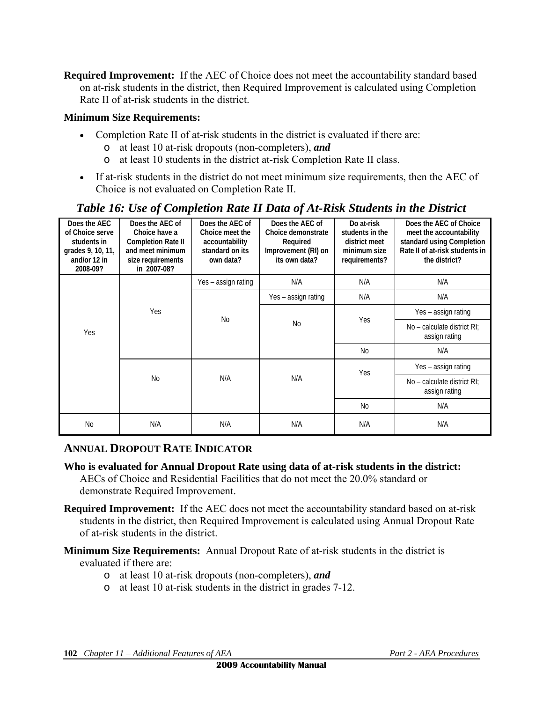**Required Improvement:** If the AEC of Choice does not meet the accountability standard based on at-risk students in the district, then Required Improvement is calculated using Completion Rate II of at-risk students in the district.

#### **Minimum Size Requirements:**

- Completion Rate II of at-risk students in the district is evaluated if there are:
	- o at least 10 at-risk dropouts (non-completers), *and*
	- o at least 10 students in the district at-risk Completion Rate II class.
- If at-risk students in the district do not meet minimum size requirements, then the AEC of Choice is not evaluated on Completion Rate II.

### *Table 16: Use of Completion Rate II Data of At-Risk Students in the District*

| Does the AEC<br>of Choice serve<br>students in<br>grades 9, 10, 11,<br>and/or 12 in<br>2008-09? | Does the AEC of<br>Choice have a<br><b>Completion Rate II</b><br>and meet minimum<br>size requirements<br>in 2007-08? | Does the AEC of<br>Choice meet the<br>accountability<br>standard on its<br>own data? | Does the AEC of<br>Choice demonstrate<br>Required<br>Improvement (RI) on<br>its own data? | Do at-risk<br>students in the<br>district meet<br>minimum size<br>requirements? | Does the AEC of Choice<br>meet the accountability<br>standard using Completion<br>Rate II of at risk students in<br>the district? |
|-------------------------------------------------------------------------------------------------|-----------------------------------------------------------------------------------------------------------------------|--------------------------------------------------------------------------------------|-------------------------------------------------------------------------------------------|---------------------------------------------------------------------------------|-----------------------------------------------------------------------------------------------------------------------------------|
| Yes                                                                                             | Yes                                                                                                                   | Yes - assign rating                                                                  | N/A                                                                                       | N/A                                                                             | N/A                                                                                                                               |
|                                                                                                 |                                                                                                                       | <b>No</b>                                                                            | Yes - assign rating                                                                       | N/A                                                                             | N/A                                                                                                                               |
|                                                                                                 |                                                                                                                       |                                                                                      | N <sub>0</sub>                                                                            | Yes                                                                             | Yes – assign rating                                                                                                               |
|                                                                                                 |                                                                                                                       |                                                                                      |                                                                                           |                                                                                 | No - calculate district RI:<br>assign rating                                                                                      |
|                                                                                                 |                                                                                                                       |                                                                                      |                                                                                           | No                                                                              | N/A                                                                                                                               |
|                                                                                                 | <b>No</b>                                                                                                             | N/A                                                                                  | N/A                                                                                       | Yes                                                                             | Yes - assign rating                                                                                                               |
|                                                                                                 |                                                                                                                       |                                                                                      |                                                                                           |                                                                                 | No - calculate district RI:<br>assign rating                                                                                      |
|                                                                                                 |                                                                                                                       |                                                                                      |                                                                                           | N <sub>0</sub>                                                                  | N/A                                                                                                                               |
| <b>No</b>                                                                                       | N/A                                                                                                                   | N/A                                                                                  | N/A                                                                                       | N/A                                                                             | N/A                                                                                                                               |

### **ANNUAL DROPOUT RATE INDICATOR**

**Who is evaluated for Annual Dropout Rate using data of at-risk students in the district:** 

AECs of Choice and Residential Facilities that do not meet the 20.0% standard or demonstrate Required Improvement.

- **Required Improvement:** If the AEC does not meet the accountability standard based on at-risk students in the district, then Required Improvement is calculated using Annual Dropout Rate of at-risk students in the district.
- **Minimum Size Requirements:** Annual Dropout Rate of at-risk students in the district is evaluated if there are:
	- o at least 10 at-risk dropouts (non-completers), *and*
	- o at least 10 at-risk students in the district in grades 7-12.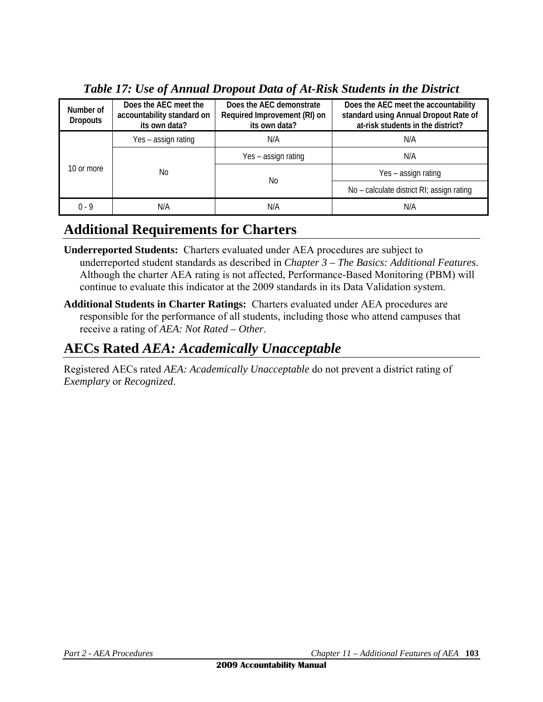| Number of<br><b>Dropouts</b> | Does the AEC meet the<br>accountability standard on<br>its own data? | Does the AEC demonstrate<br>Required Improvement (RI) on<br>its own data? | Does the AEC meet the accountability<br>standard using Annual Dropout Rate of<br>at-risk students in the district? |  |
|------------------------------|----------------------------------------------------------------------|---------------------------------------------------------------------------|--------------------------------------------------------------------------------------------------------------------|--|
| 10 or more                   | Yes – assign rating                                                  | N/A                                                                       | N/A                                                                                                                |  |
|                              | No                                                                   | Yes – assign rating                                                       | N/A                                                                                                                |  |
|                              |                                                                      | No                                                                        | Yes – assign rating                                                                                                |  |
|                              |                                                                      |                                                                           | No - calculate district RI; assign rating                                                                          |  |
| $0 - 9$                      | N/A                                                                  | N/A                                                                       | N/A                                                                                                                |  |

# *Table 17: Use of Annual Dropout Data of At-Risk Students in the District*

# **Additional Requirements for Charters**

- **Underreported Students:** Charters evaluated under AEA procedures are subject to underreported student standards as described in *Chapter 3 – The Basics: Additional Features*. Although the charter AEA rating is not affected, Performance-Based Monitoring (PBM) will continue to evaluate this indicator at the 2009 standards in its Data Validation system.
- **Additional Students in Charter Ratings:** Charters evaluated under AEA procedures are responsible for the performance of all students, including those who attend campuses that receive a rating of *AEA: Not Rated – Other*.

# **AECs Rated** *AEA: Academically Unacceptable*

Registered AECs rated *AEA: Academically Unacceptable* do not prevent a district rating of *Exemplary* or *Recognized*.